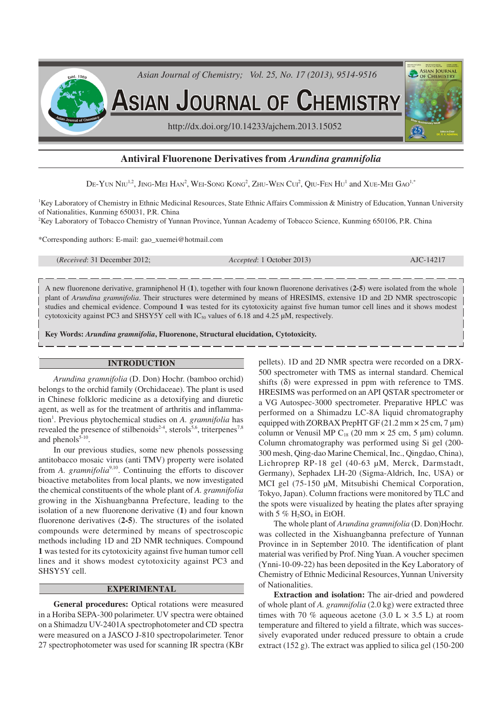

# **Antiviral Fluorenone Derivatives from** *Arundina gramnifolia*

 $\rm{De\text{-}Y}$ un Niu $^{1.2}$ , Jing-Mei Han<sup>2</sup>, Wei-Song Kong<sup>2</sup>, Zhu-Wen Cui<sup>2</sup>, Qiu-Fen Hu<sup>1</sup> and Xue-Mei Gao<sup>1,\*</sup>

<sup>1</sup>Key Laboratory of Chemistry in Ethnic Medicinal Resources, State Ethnic Affairs Commission & Ministry of Education, Yunnan University of Nationalities, Kunming 650031, P.R. China

<sup>2</sup>Key Laboratory of Tobacco Chemistry of Yunnan Province, Yunnan Academy of Tobacco Science, Kunming 650106, P.R. China

\*Corresponding authors: E-mail: gao\_xuemei@hotmail.com

(*Received*: 31 December 2012; *Accepted*: 1 October 2013) AJC-14217

A new fluorenone derivative, gramniphenol H (**1**), together with four known fluorenone derivatives (**2-5**) were isolated from the whole plant of *Arundina gramnifolia*. Their structures were determined by means of HRESIMS, extensive 1D and 2D NMR spectroscopic studies and chemical evidence. Compound **1** was tested for its cytotoxicity against five human tumor cell lines and it shows modest cytotoxicity against PC3 and SHSY5Y cell with  $IC_{50}$  values of 6.18 and 4.25  $\mu$ M, respectively.

**Key Words:** *Arundina gramnifolia***, Fluorenone, Structural elucidation, Cytotoxicity.**

#### **INTRODUCTION**

*Arundina gramnifolia* (D. Don) Hochr. (bamboo orchid) belongs to the orchid family (Orchidaceae). The plant is used in Chinese folkloric medicine as a detoxifying and diuretic agent, as well as for the treatment of arthritis and inflammation<sup>1</sup>. Previous phytochemical studies on *A. gramnifolia* has revealed the presence of stilbenoids<sup>2-4</sup>, sterols<sup>5,6</sup>, triterpenes<sup>7,8</sup> and phenols $5-10$ .

In our previous studies, some new phenols possessing antitobacco mosaic virus (anti TMV) property were isolated from *A. gramnifolia*<sup>9,10</sup>. Continuing the efforts to discover bioactive metabolites from local plants, we now investigated the chemical constituents of the whole plant of *A. gramnifolia* growing in the Xishuangbanna Prefecture, leading to the isolation of a new fluorenone derivative (**1**) and four known fluorenone derivatives (**2-5**). The structures of the isolated compounds were determined by means of spectroscopic methods including 1D and 2D NMR techniques. Compound **1** was tested for its cytotoxicity against five human tumor cell lines and it shows modest cytotoxicity against PC3 and SHSY5Y cell.

### **EXPERIMENTAL**

**General procedures:** Optical rotations were measured in a Horiba SEPA-300 polarimeter. UV spectra were obtained on a Shimadzu UV-2401A spectrophotometer and CD spectra were measured on a JASCO J-810 spectropolarimeter. Tenor 27 spectrophotometer was used for scanning IR spectra (KBr

pellets). 1D and 2D NMR spectra were recorded on a DRX-500 spectrometer with TMS as internal standard. Chemical shifts (δ) were expressed in ppm with reference to TMS. HRESIMS was performed on an API QSTAR spectrometer or a VG Autospec-3000 spectrometer. Preparative HPLC was performed on a Shimadzu LC-8A liquid chromatography equipped with ZORBAX PrepHT GF  $(21.2 \text{ mm} \times 25 \text{ cm}, 7 \text{ µm})$ column or Venusil MP  $C_{18}$  (20 mm  $\times$  25 cm, 5 µm) column. Column chromatography was performed using Si gel (200- 300 mesh, Qing-dao Marine Chemical, Inc., Qingdao, China), Lichroprep RP-18 gel (40-63 µM, Merck, Darmstadt, Germany), Sephadex LH-20 (Sigma-Aldrich, Inc, USA) or MCI gel (75-150 µM, Mitsubishi Chemical Corporation, Tokyo, Japan). Column fractions were monitored by TLC and the spots were visualized by heating the plates after spraying with  $5\%$  H<sub>2</sub>SO<sub>4</sub> in EtOH.

The whole plant of *Arundina gramnifolia* (D. Don)Hochr. was collected in the Xishuangbanna prefecture of Yunnan Province in in September 2010. The identification of plant material was verified by Prof. Ning Yuan. A voucher specimen (Ynni-10-09-22) has been deposited in the Key Laboratory of Chemistry of Ethnic Medicinal Resources, Yunnan University of Nationalities.

**Extraction and isolation:** The air-dried and powdered of whole plant of *A. gramnifolia* (2.0 kg) were extracted three times with 70 % aqueous acetone (3.0 L  $\times$  3.5 L) at room temperature and filtered to yield a filtrate, which was successively evaporated under reduced pressure to obtain a crude extract (152 g). The extract was applied to silica gel (150-200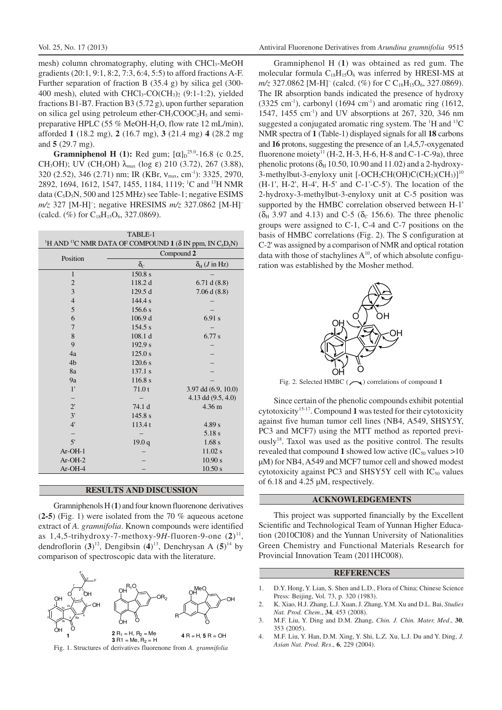mesh) column chromatography, eluting with CHCl<sub>3</sub>-MeOH gradients (20:1, 9:1, 8:2, 7:3, 6:4, 5:5) to afford fractions A-F. Further separation of fraction B (35.4 g) by silica gel (300- 400 mesh), eluted with  $CHCl<sub>3</sub>-CO(CH<sub>3</sub>)<sub>2</sub>$  (9:1-1:2), yielded fractions B1-B7. Fraction B3 (5.72 g), upon further separation on silica gel using petroleum ether- $CH<sub>3</sub>COOC<sub>2</sub>H<sub>5</sub>$  and semipreparative HPLC (55 % MeOH-H<sub>2</sub>O, flow rate 12 mL/min), afforded **1** (18.2 mg), **2** (16.7 mg), **3** (21.4 mg) **4** (28.2 mg and **5** (29.7 mg).

**Gramniphenol H** (1): Red gum;  $[\alpha]_D^{25.0}$ -16.8 (c 0.25, CH<sub>3</sub>OH); UV (CH<sub>3</sub>OH)  $λ_{max}$  (log ε) 210 (3.72), 267 (3.88), 320 (2.52), 346 (2.71) nm; IR (KBr,  $v_{\text{max}}$ , cm<sup>-1</sup>): 3325, 2970, 2892, 1694, 1612, 1547, 1455, 1184, 1119; <sup>1</sup>C and <sup>13</sup>H NMR data  $(C_5D_5N, 500$  and 125 MHz) see Table-1; negative ESIMS *m/z* 327 [M-H]– ; negative HRESIMS *m/z* 327.0862 [M-H]– (calcd.  $(\%)$  for C<sub>18</sub>H<sub>15</sub>O<sub>6</sub>, 327.0869).

| TABLE-1                                                                                                          |                    |                                |
|------------------------------------------------------------------------------------------------------------------|--------------------|--------------------------------|
| <sup>1</sup> H AND <sup>13</sup> C NMR DATA OF COMPOUND 1 ( $\delta$ IN ppm, IN C <sub>5</sub> D <sub>5</sub> N) |                    |                                |
| Position                                                                                                         | Compound 2         |                                |
|                                                                                                                  | $\delta_{\rm C}$   | $\delta_{H}$ ( <i>J</i> in Hz) |
| $\mathbf{1}$                                                                                                     | 150.8 s            |                                |
| $\mathbf{2}$                                                                                                     | 118.2 d            | 6.71 d(8.8)                    |
| 3                                                                                                                | 129.5d             | 7.06 d(8.8)                    |
| $\overline{4}$                                                                                                   | 144.4 s            |                                |
| 5                                                                                                                | 156.6 s            |                                |
| 6                                                                                                                | 106.9 <sub>d</sub> | 6.91 s                         |
| 7                                                                                                                | 154.5 s            |                                |
| 8                                                                                                                | 108.1 d            | 6.77 s                         |
| 9                                                                                                                | 192.9 s            |                                |
| 4a                                                                                                               | 125.0 s            |                                |
| 4 <sub>b</sub>                                                                                                   | 120.6 s            |                                |
| 8a                                                                                                               | 137.1 s            |                                |
| 9a                                                                                                               | 116.8 s            |                                |
| 1'                                                                                                               | 71.0t              | $3.97$ dd $(6.9, 10.0)$        |
|                                                                                                                  |                    | 4.13 dd (9.5, 4.0)             |
| $2^{\prime}$                                                                                                     | 74.1 d             | $4.36 \text{ m}$               |
| 3'                                                                                                               | 145.8 s            |                                |
| 4'                                                                                                               | 113.4t             | 4.89 s                         |
|                                                                                                                  |                    | 5.18 s                         |
| 5'                                                                                                               | 19.0q              | 1.68s                          |
| $Ar-OH-1$                                                                                                        |                    | 11.02 s                        |
| $Ar-OH-2$                                                                                                        |                    | 10.90 s                        |
| Ar-OH-4                                                                                                          |                    | 10.50 s                        |

### **RESULTS AND DISCUSSION**

Gramniphenols H (**1**) and four known fluorenone derivatives (**2-5**) (Fig. 1) were isolated from the 70 % aqueous acetone extract of *A. gramnifolia*. Known compounds were identified as 1,4,5-trihydroxy-7-methoxy-9H-fluoren-9-one  $(2)^{11}$ , dendroflorin (**3**) 12 , Dengibsin (**4**) 13 , Denchrysan A (**5**) <sup>14</sup> by comparison of spectroscopic data with the literature.





Gramniphenol H (**1**) was obtained as red gum. The molecular formula  $C_{18}H_{15}O_6$  was inferred by HRESI-MS at *m/z* 327.0862 [M-H]<sup>-</sup> (calcd. (%) for C C<sub>18</sub>H<sub>15</sub>O<sub>6</sub>, 327.0869). The IR absorption bands indicated the presence of hydroxy  $(3325 \text{ cm}^3)$ , carbonyl  $(1694 \text{ cm}^3)$  and aromatic ring  $(1612,$ 1547, 1455 cm<sup>-1</sup>) and UV absorptions at 267, 320, 346 nm suggested a conjugated aromatic ring system. The <sup>1</sup>H and <sup>13</sup>C NMR spectra of **1** (Table-1) displayed signals for all **18** carbons and **16** protons, suggesting the presence of an 1,4,5,7-oxygenated fluorenone moiety<sup>11</sup> (H-2, H-3, H-6, H-8 and C-1-C-9a), three phenolic protons ( $\delta_H$  10.50, 10.90 and 11.02) and a 2-hydroxy-3-methylbut-3-enyloxy unit [-OCH<sub>2</sub>CH(OH)C(CH<sub>2</sub>)(CH<sub>3</sub>)]<sup>10</sup> (H-1', H-2', H-4', H-5' and C-1'-C-5'). The location of the 2-hydroxy-3-methylbut-3-enyloxy unit at C-5 position was supported by the HMBC correlation observed between H-1'  $(\delta_H$  3.97 and 4.13) and C-5 ( $\delta_C$  156.6). The three phenolic groups were assigned to C-1, C-4 and C-7 positions on the basis of HMBC correlations (Fig. 2). The S configuration at C-2' was assigned by a comparison of NMR and optical rotation data with those of stachylines  $A^{10}$ , of which absolute configuration was established by the Mosher method.



Fig. 2. Selected HMBC ( $\bigcap$ ) correlations of compound 1

Since certain of the phenolic compounds exhibit potential cytotoxicity<sup>15-17</sup>. Compound 1 was tested for their cytotoxicity against five human tumor cell lines (NB4, A549, SHSY5Y, PC3 and MCF7) using the MTT method as reported previously<sup>18</sup>. Taxol was used as the positive control. The results revealed that compound 1 showed low active  $(IC_{50}$  values  $>10$ µM) for NB4,A549 and MCF7 tumor cell and showed modest cytotoxicity against PC3 and SHSY5Y cell with  $IC_{50}$  values of 6.18 and 4.25 µM, respectively.

#### **ACKNOWLEDGEMENTS**

This project was supported financially by the Excellent Scientific and Technological Team of Yunnan Higher Education (2010CI08) and the Yunnan University of Nationalities Green Chemistry and Functional Materials Research for Provincial Innovation Team (2011HC008).

#### **REFERENCES**

- 1. D.Y. Hong, Y. Lian, S. Shen and L.D., Flora of China; Chinese Science Press: Beijing, Vol. 73, p. 320 (1983).
- 2. K. Xiao, H.J. Zhang, L.J. Xuan, J. Zhang, Y.M. Xu and D.L. Bai, *Studies Nat. Prod. Chem*., **34**, 453 (2008).
- 3. M.F. Liu, Y. Ding and D.M. Zhang, *Chin. J. Chin. Mater. Med*., **30**, 353 (2005).
- 4. M.F. Liu, Y. Han, D.M. Xing, Y. Shi, L.Z. Xu, L.J. Du and Y. Ding, *J. Asian Nat. Prod. Res*., **6**, 229 (2004).